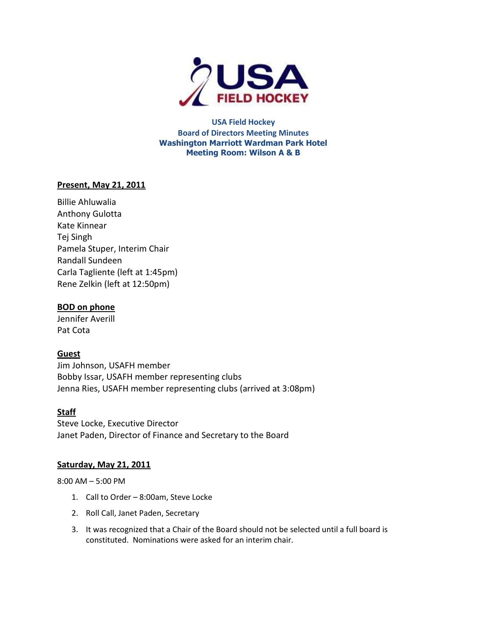

**USA Field Hockey Board of Directors Meeting Minutes Washington Marriott Wardman Park Hotel Meeting Room: Wilson A & B**

### **Present, May 21, 2011**

Billie Ahluwalia Anthony Gulotta Kate Kinnear Tej Singh Pamela Stuper, Interim Chair Randall Sundeen Carla Tagliente (left at 1:45pm) Rene Zelkin (left at 12:50pm)

## **BOD on phone**

Jennifer Averill Pat Cota

## **Guest**

Jim Johnson, USAFH member Bobby Issar, USAFH member representing clubs Jenna Ries, USAFH member representing clubs (arrived at 3:08pm)

## **Staff**

Steve Locke, Executive Director Janet Paden, Director of Finance and Secretary to the Board

### **Saturday, May 21, 2011**

8:00 AM – 5:00 PM

- 1. Call to Order 8:00am, Steve Locke
- 2. Roll Call, Janet Paden, Secretary
- 3. It was recognized that a Chair of the Board should not be selected until a full board is constituted. Nominations were asked for an interim chair.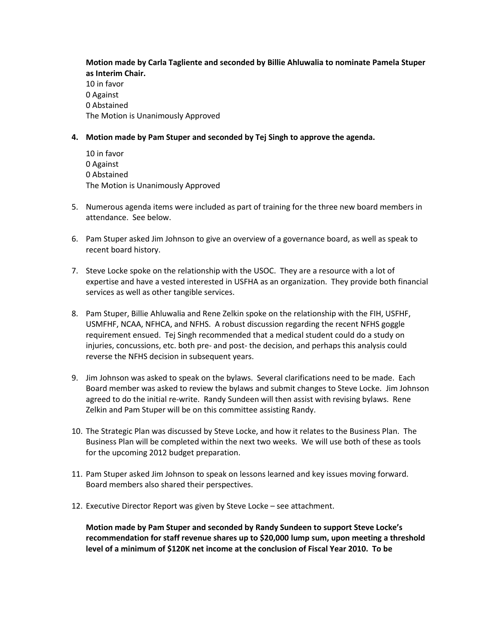# **Motion made by Carla Tagliente and seconded by Billie Ahluwalia to nominate Pamela Stuper as Interim Chair.**

10 in favor 0 Against 0 Abstained The Motion is Unanimously Approved

**4. Motion made by Pam Stuper and seconded by Tej Singh to approve the agenda.** 

10 in favor 0 Against 0 Abstained The Motion is Unanimously Approved

- 5. Numerous agenda items were included as part of training for the three new board members in attendance. See below.
- 6. Pam Stuper asked Jim Johnson to give an overview of a governance board, as well as speak to recent board history.
- 7. Steve Locke spoke on the relationship with the USOC. They are a resource with a lot of expertise and have a vested interested in USFHA as an organization. They provide both financial services as well as other tangible services.
- 8. Pam Stuper, Billie Ahluwalia and Rene Zelkin spoke on the relationship with the FIH, USFHF, USMFHF, NCAA, NFHCA, and NFHS. A robust discussion regarding the recent NFHS goggle requirement ensued. Tej Singh recommended that a medical student could do a study on injuries, concussions, etc. both pre- and post- the decision, and perhaps this analysis could reverse the NFHS decision in subsequent years.
- 9. Jim Johnson was asked to speak on the bylaws. Several clarifications need to be made. Each Board member was asked to review the bylaws and submit changes to Steve Locke. Jim Johnson agreed to do the initial re-write. Randy Sundeen will then assist with revising bylaws. Rene Zelkin and Pam Stuper will be on this committee assisting Randy.
- 10. The Strategic Plan was discussed by Steve Locke, and how it relates to the Business Plan. The Business Plan will be completed within the next two weeks. We will use both of these as tools for the upcoming 2012 budget preparation.
- 11. Pam Stuper asked Jim Johnson to speak on lessons learned and key issues moving forward. Board members also shared their perspectives.
- 12. Executive Director Report was given by Steve Locke see attachment.

**Motion made by Pam Stuper and seconded by Randy Sundeen to support Steve Locke's recommendation for staff revenue shares up to \$20,000 lump sum, upon meeting a threshold level of a minimum of \$120K net income at the conclusion of Fiscal Year 2010. To be**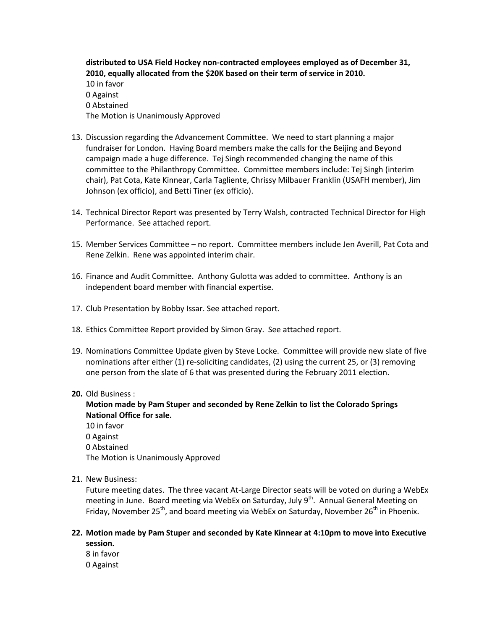**distributed to USA Field Hockey non-contracted employees employed as of December 31, 2010, equally allocated from the \$20K based on their term of service in 2010.**  10 in favor 0 Against 0 Abstained The Motion is Unanimously Approved

- 13. Discussion regarding the Advancement Committee. We need to start planning a major fundraiser for London. Having Board members make the calls for the Beijing and Beyond campaign made a huge difference. Tej Singh recommended changing the name of this committee to the Philanthropy Committee. Committee members include: Tej Singh (interim chair), Pat Cota, Kate Kinnear, Carla Tagliente, Chrissy Milbauer Franklin (USAFH member), Jim Johnson (ex officio), and Betti Tiner (ex officio).
- 14. Technical Director Report was presented by Terry Walsh, contracted Technical Director for High Performance. See attached report.
- 15. Member Services Committee no report. Committee members include Jen Averill, Pat Cota and Rene Zelkin. Rene was appointed interim chair.
- 16. Finance and Audit Committee. Anthony Gulotta was added to committee. Anthony is an independent board member with financial expertise.
- 17. Club Presentation by Bobby Issar. See attached report.
- 18. Ethics Committee Report provided by Simon Gray. See attached report.
- 19. Nominations Committee Update given by Steve Locke. Committee will provide new slate of five nominations after either (1) re-soliciting candidates, (2) using the current 25, or (3) removing one person from the slate of 6 that was presented during the February 2011 election.

#### **20.** Old Business :

#### **Motion made by Pam Stuper and seconded by Rene Zelkin to list the Colorado Springs National Office for sale.**

10 in favor 0 Against 0 Abstained The Motion is Unanimously Approved

21. New Business:

Future meeting dates. The three vacant At-Large Director seats will be voted on during a WebEx meeting in June. Board meeting via WebEx on Saturday, July 9<sup>th</sup>. Annual General Meeting on Friday, November 25<sup>th</sup>, and board meeting via WebEx on Saturday, November 26<sup>th</sup> in Phoenix.

#### **22. Motion made by Pam Stuper and seconded by Kate Kinnear at 4:10pm to move into Executive session.**

8 in favor 0 Against